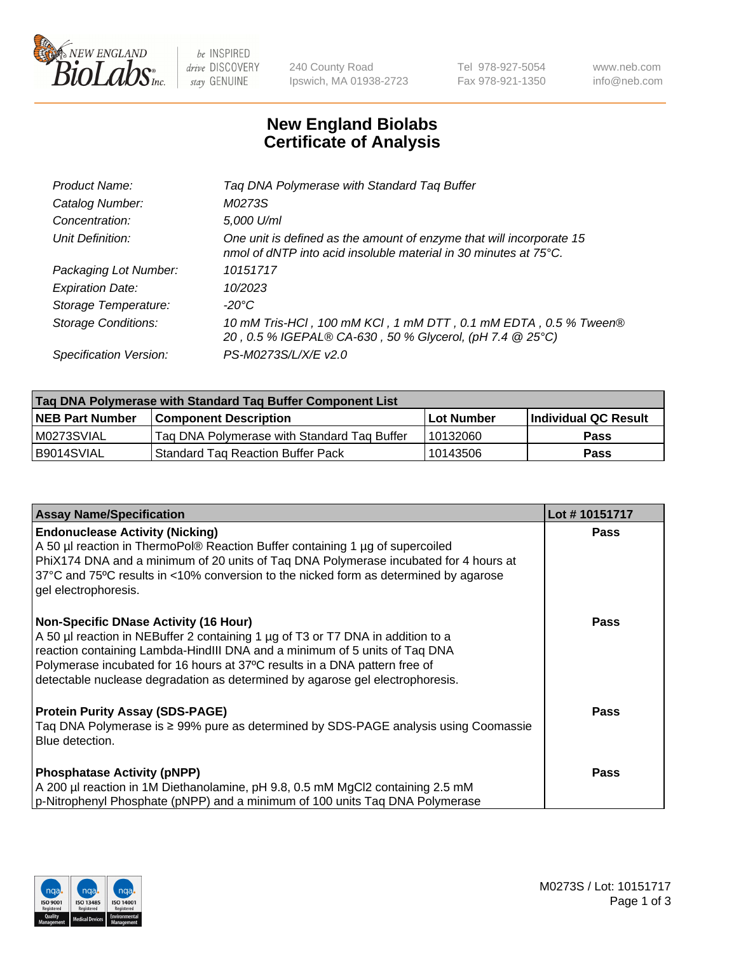

be INSPIRED drive DISCOVERY stay GENUINE

240 County Road Ipswich, MA 01938-2723 Tel 978-927-5054 Fax 978-921-1350 www.neb.com info@neb.com

## **New England Biolabs Certificate of Analysis**

| Product Name:           | Tag DNA Polymerase with Standard Tag Buffer                                                                                                        |
|-------------------------|----------------------------------------------------------------------------------------------------------------------------------------------------|
| Catalog Number:         | M0273S                                                                                                                                             |
| Concentration:          | 5,000 U/ml                                                                                                                                         |
| Unit Definition:        | One unit is defined as the amount of enzyme that will incorporate 15<br>nmol of dNTP into acid insoluble material in 30 minutes at $75^{\circ}$ C. |
| Packaging Lot Number:   | 10151717                                                                                                                                           |
| <b>Expiration Date:</b> | 10/2023                                                                                                                                            |
| Storage Temperature:    | $-20^{\circ}$ C                                                                                                                                    |
| Storage Conditions:     | 10 mM Tris-HCl, 100 mM KCl, 1 mM DTT, 0.1 mM EDTA, 0.5 % Tween®<br>20, 0.5 % IGEPAL® CA-630, 50 % Glycerol, (pH 7.4 @ 25°C)                        |
| Specification Version:  | PS-M0273S/L/X/E v2.0                                                                                                                               |

| Tag DNA Polymerase with Standard Tag Buffer Component List |                                             |                   |                      |  |
|------------------------------------------------------------|---------------------------------------------|-------------------|----------------------|--|
| <b>NEB Part Number</b>                                     | Component Description_                      | <b>Lot Number</b> | Individual QC Result |  |
| M0273SVIAL                                                 | Tag DNA Polymerase with Standard Tag Buffer | 10132060          | Pass                 |  |
| B9014SVIAL                                                 | <b>Standard Tag Reaction Buffer Pack</b>    | 10143506          | <b>Pass</b>          |  |

| <b>Assay Name/Specification</b>                                                                                                                                                                                                                                                                                                                                              | Lot #10151717 |
|------------------------------------------------------------------------------------------------------------------------------------------------------------------------------------------------------------------------------------------------------------------------------------------------------------------------------------------------------------------------------|---------------|
| <b>Endonuclease Activity (Nicking)</b><br>A 50 µl reaction in ThermoPol® Reaction Buffer containing 1 µg of supercoiled<br>PhiX174 DNA and a minimum of 20 units of Taq DNA Polymerase incubated for 4 hours at<br>37°C and 75°C results in <10% conversion to the nicked form as determined by agarose<br>gel electrophoresis.                                              | <b>Pass</b>   |
| <b>Non-Specific DNase Activity (16 Hour)</b><br>A 50 µl reaction in NEBuffer 2 containing 1 µg of T3 or T7 DNA in addition to a<br>reaction containing Lambda-HindIII DNA and a minimum of 5 units of Taq DNA<br>Polymerase incubated for 16 hours at 37°C results in a DNA pattern free of<br>detectable nuclease degradation as determined by agarose gel electrophoresis. | Pass          |
| <b>Protein Purity Assay (SDS-PAGE)</b><br>Taq DNA Polymerase is ≥ 99% pure as determined by SDS-PAGE analysis using Coomassie<br>Blue detection.                                                                                                                                                                                                                             | Pass          |
| <b>Phosphatase Activity (pNPP)</b><br>A 200 µl reaction in 1M Diethanolamine, pH 9.8, 0.5 mM MgCl2 containing 2.5 mM<br>p-Nitrophenyl Phosphate (pNPP) and a minimum of 100 units Taq DNA Polymerase                                                                                                                                                                         | <b>Pass</b>   |

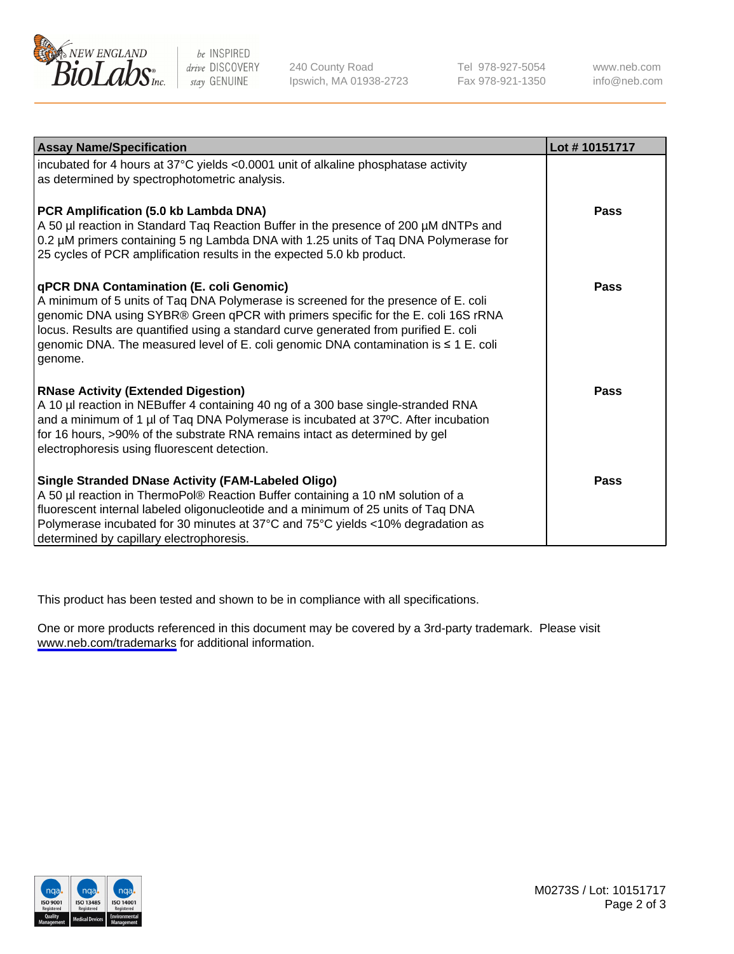

be INSPIRED drive DISCOVERY stay GENUINE

240 County Road Ipswich, MA 01938-2723 Tel 978-927-5054 Fax 978-921-1350

www.neb.com info@neb.com

| <b>Assay Name/Specification</b>                                                                                                                                                                                                                                                                                                                                                                               | Lot #10151717 |
|---------------------------------------------------------------------------------------------------------------------------------------------------------------------------------------------------------------------------------------------------------------------------------------------------------------------------------------------------------------------------------------------------------------|---------------|
| incubated for 4 hours at 37°C yields <0.0001 unit of alkaline phosphatase activity<br>as determined by spectrophotometric analysis.                                                                                                                                                                                                                                                                           |               |
| PCR Amplification (5.0 kb Lambda DNA)<br>A 50 µl reaction in Standard Taq Reaction Buffer in the presence of 200 µM dNTPs and<br>0.2 µM primers containing 5 ng Lambda DNA with 1.25 units of Tag DNA Polymerase for<br>25 cycles of PCR amplification results in the expected 5.0 kb product.                                                                                                                | <b>Pass</b>   |
| qPCR DNA Contamination (E. coli Genomic)<br>A minimum of 5 units of Taq DNA Polymerase is screened for the presence of E. coli<br>genomic DNA using SYBR® Green qPCR with primers specific for the E. coli 16S rRNA<br>locus. Results are quantified using a standard curve generated from purified E. coli<br>genomic DNA. The measured level of E. coli genomic DNA contamination is ≤ 1 E. coli<br>genome. | <b>Pass</b>   |
| <b>RNase Activity (Extended Digestion)</b><br>A 10 µl reaction in NEBuffer 4 containing 40 ng of a 300 base single-stranded RNA<br>and a minimum of 1 µl of Taq DNA Polymerase is incubated at 37°C. After incubation<br>for 16 hours, >90% of the substrate RNA remains intact as determined by gel<br>electrophoresis using fluorescent detection.                                                          | <b>Pass</b>   |
| <b>Single Stranded DNase Activity (FAM-Labeled Oligo)</b><br>A 50 µl reaction in ThermoPol® Reaction Buffer containing a 10 nM solution of a<br>fluorescent internal labeled oligonucleotide and a minimum of 25 units of Taq DNA<br>Polymerase incubated for 30 minutes at 37°C and 75°C yields <10% degradation as<br>determined by capillary electrophoresis.                                              | <b>Pass</b>   |

This product has been tested and shown to be in compliance with all specifications.

One or more products referenced in this document may be covered by a 3rd-party trademark. Please visit <www.neb.com/trademarks>for additional information.